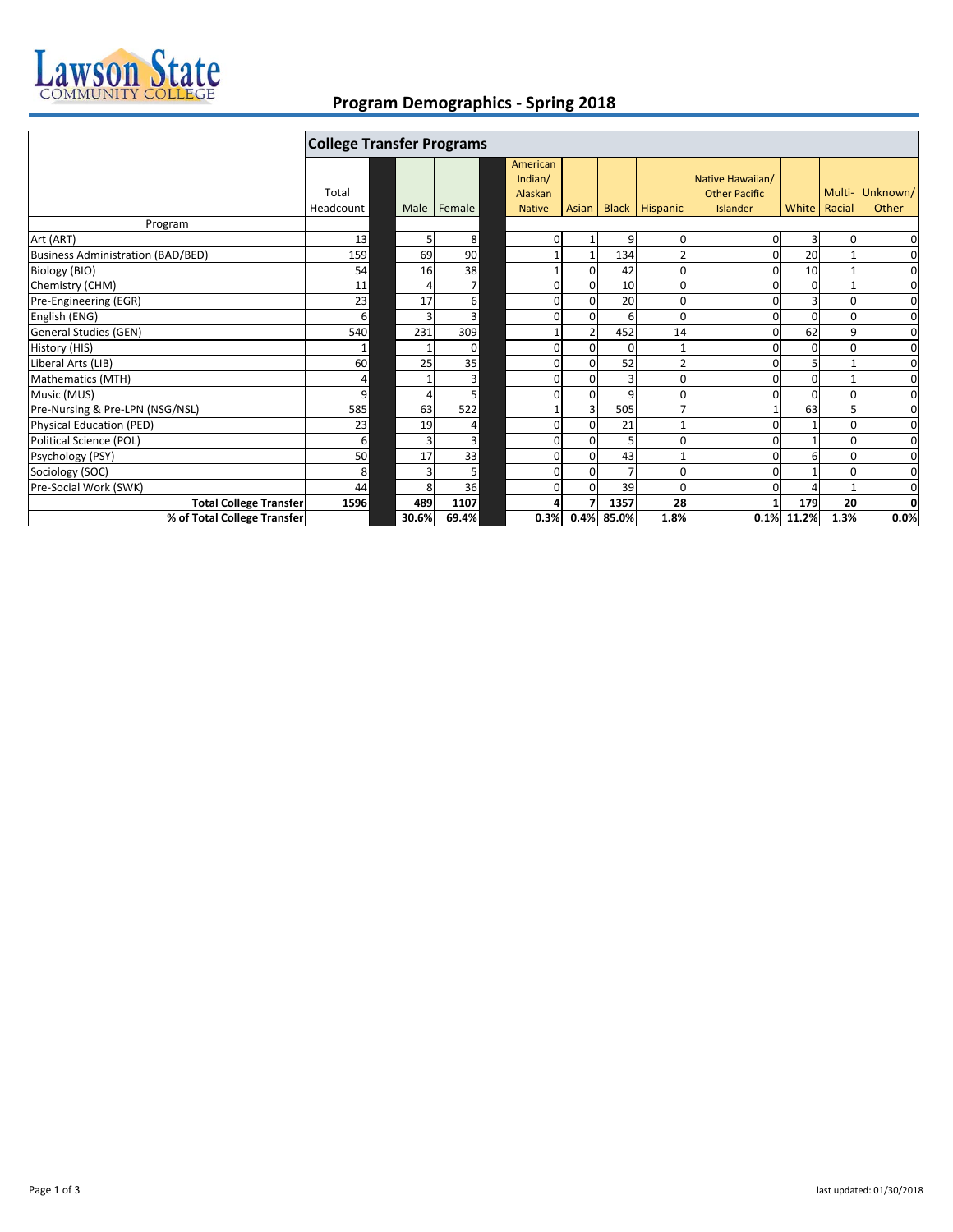

## **Program Demographics ‐ Spring 2018**

|                                          | <b>College Transfer Programs</b> |       |                |  |                                                 |          |            |                      |                                                      |                |                |                          |
|------------------------------------------|----------------------------------|-------|----------------|--|-------------------------------------------------|----------|------------|----------------------|------------------------------------------------------|----------------|----------------|--------------------------|
|                                          | Total<br>Headcount               |       | Male   Female  |  | American<br>Indian/<br>Alaskan<br><b>Native</b> |          |            | Asian Black Hispanic | Native Hawaiian/<br><b>Other Pacific</b><br>Islander | White   Racial |                | Multi- Unknown/<br>Other |
| Program                                  |                                  |       |                |  |                                                 |          |            |                      |                                                      |                |                |                          |
| Art (ART)                                | 13                               |       | 8              |  | 0                                               |          | 9          | 0                    |                                                      | 3              | $\Omega$       | $\mathbf 0$              |
| <b>Business Administration (BAD/BED)</b> | 159                              | 69    | 90             |  |                                                 |          | 134        |                      |                                                      | 20             |                | $\mathbf 0$              |
| Biology (BIO)                            | 54                               | 16    | 38             |  |                                                 |          | 42         | $\Omega$             |                                                      | 10             |                | $\mathbf 0$              |
| Chemistry (CHM)                          | 11                               |       | $\overline{7}$ |  | $\Omega$                                        | O        | 10         | O                    |                                                      | 0              |                | $\mathbf 0$              |
| Pre-Engineering (EGR)                    | 23                               | 17    | 6              |  | $\Omega$                                        | O        | 20         | 0                    |                                                      | 3              | $\overline{0}$ | $\mathbf 0$              |
| English (ENG)                            | $6 \mid$                         |       | 3              |  | $\Omega$                                        | 0        | 6          | O                    |                                                      | $\Omega$       | $\overline{0}$ | $\overline{0}$           |
| <b>General Studies (GEN)</b>             | 540                              | 231   | 309            |  |                                                 |          | 452        | 14                   |                                                      | 62             | 9              | $\mathbf 0$              |
| History (HIS)                            | 1                                |       | $\Omega$       |  | $\mathbf 0$                                     | 0        | $\Omega$   |                      |                                                      | $\Omega$       | $\Omega$       | $\mathbf 0$              |
| Liberal Arts (LIB)                       | 60                               | 25    | 35             |  | $\mathbf 0$                                     | 0        | 52         |                      |                                                      | 5              |                | $\mathbf 0$              |
| Mathematics (MTH)                        | $\overline{4}$                   |       | 3              |  | 0                                               | 0        | 3          | O                    |                                                      | $\Omega$       |                | $\mathbf 0$              |
| Music (MUS)                              | $\overline{9}$                   |       | 5              |  |                                                 |          | 9          |                      |                                                      | $\Omega$       | $\Omega$       | $\mathbf 0$              |
| Pre-Nursing & Pre-LPN (NSG/NSL)          | 585                              | 63    | 522            |  |                                                 |          | 505        |                      |                                                      | 63             |                | $\mathbf 0$              |
| <b>Physical Education (PED)</b>          | 23                               | 19    | 4              |  | $\Omega$                                        | ŋ        | 21         |                      |                                                      |                | $\Omega$       | $\mathbf 0$              |
| Political Science (POL)                  | 6                                |       | 3              |  | $\Omega$                                        | $\Omega$ | 5          | 0                    |                                                      |                | $\overline{0}$ | $\mathbf 0$              |
| Psychology (PSY)                         | 50                               | 17    | 33             |  | $\Omega$                                        |          | 43         |                      |                                                      | 6              | $\Omega$       | $\overline{0}$           |
| Sociology (SOC)                          | 8 <sup>1</sup>                   |       | 5              |  | 0                                               | 0        |            | 0                    |                                                      |                | $\Omega$       | $\mathbf 0$              |
| Pre-Social Work (SWK)                    | 44                               | 8     | 36             |  | $\mathbf 0$                                     | 0        | 39         | 0                    |                                                      |                |                | $\mathbf 0$              |
| <b>Total College Transfer</b>            | 1596                             | 489   | 1107           |  | 4                                               |          | 1357       | 28                   |                                                      | 179            | 20             | $\mathbf 0$              |
| % of Total College Transfer              |                                  | 30.6% | 69.4%          |  | 0.3%                                            |          | 0.4% 85.0% | 1.8%                 |                                                      | 0.1% 11.2%     | 1.3%           | 0.0%                     |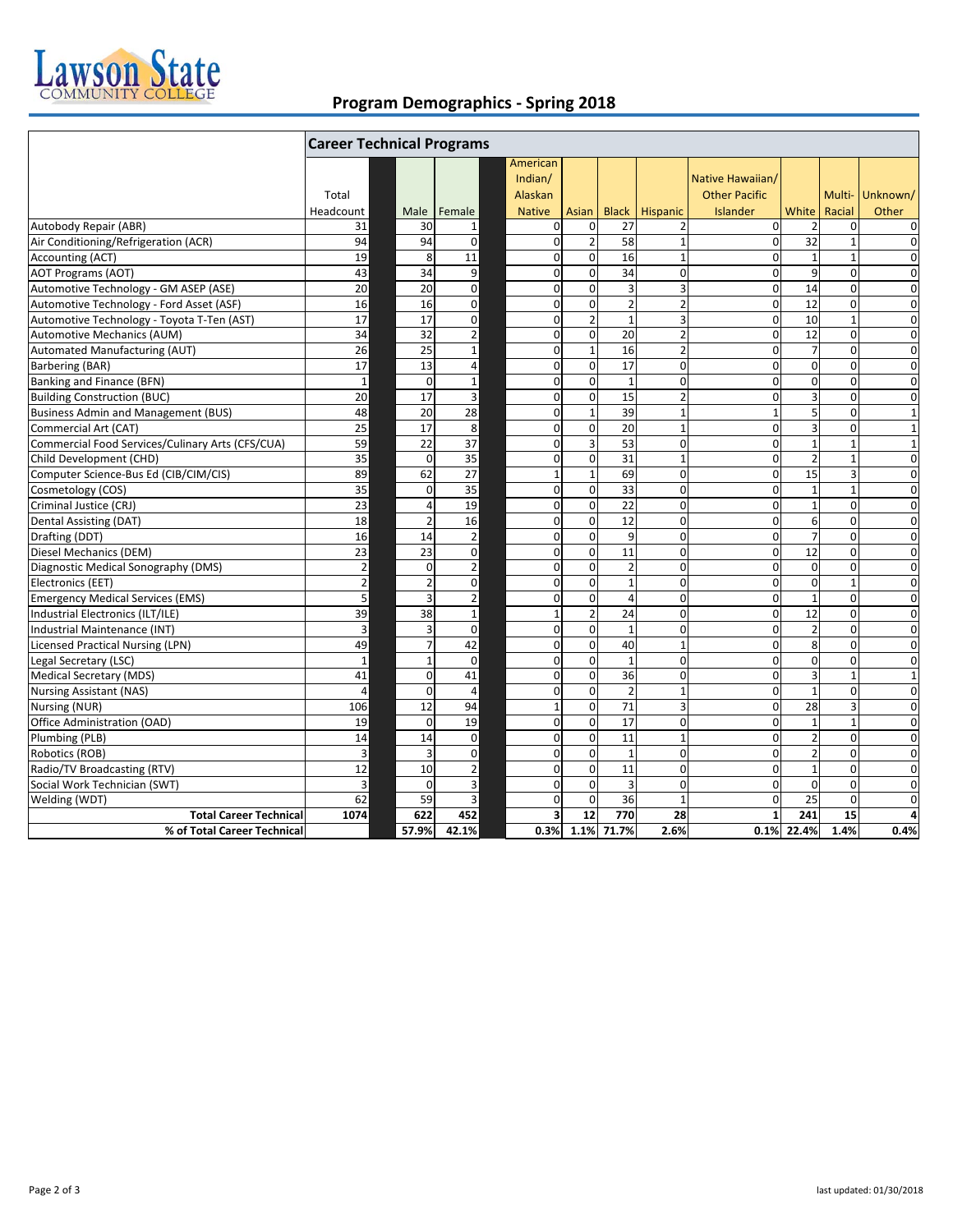

## **Program Demographics ‐ Spring 2018**

|                                                  | <b>Career Technical Programs</b> |                         |                         |                                                 |                  |                 |                |                                                             |                 |              |                          |
|--------------------------------------------------|----------------------------------|-------------------------|-------------------------|-------------------------------------------------|------------------|-----------------|----------------|-------------------------------------------------------------|-----------------|--------------|--------------------------|
|                                                  | Total<br>Headcount               | Male                    | Female                  | American<br>Indian/<br>Alaskan<br><b>Native</b> | Asian            | <b>Black</b>    | Hispanic       | Native Hawaiian/<br><b>Other Pacific</b><br><b>Islander</b> | White           | Racial       | Multi- Unknown/<br>Other |
| Autobody Repair (ABR)                            | 31                               | 30                      | $\mathbf{1}$            | $\mathbf 0$                                     | $\mathbf 0$      | 27              | $\overline{2}$ | $\Omega$                                                    | $\overline{2}$  | $\mathbf 0$  | $\mathbf 0$              |
| Air Conditioning/Refrigeration (ACR)             | 94                               | 94                      | $\mathbf{0}$            | $\mathbf 0$                                     | $\mathbf 2$      | 58              | $\mathbf{1}$   | $\overline{0}$                                              | $\overline{32}$ | $\mathbf{1}$ | $\mathbf 0$              |
| Accounting (ACT)                                 | 19                               | 8                       | 11                      | $\mathbf 0$                                     | $\mathbf 0$      | 16              | $\mathbf{1}$   | $\Omega$                                                    | $\mathbf{1}$    | $\mathbf{1}$ | $\mathbf 0$              |
| <b>AOT Programs (AOT)</b>                        | 43                               | 34                      | 9                       | $\mathbf 0$                                     | $\mathbf 0$      | 34              | $\mathbf 0$    | $\Omega$                                                    | 9               | $\mathbf{0}$ | $\mathbf 0$              |
| Automotive Technology - GM ASEP (ASE)            | 20                               | 20                      | $\mathbf 0$             | $\mathbf 0$                                     | $\mathbf 0$      | $\overline{3}$  | 3              | $\Omega$                                                    | 14              | $\mathbf 0$  | $\overline{0}$           |
| Automotive Technology - Ford Asset (ASF)         | 16                               | 16                      | $\mathbf 0$             | $\mathbf 0$                                     | $\mathbf 0$      | $\overline{2}$  | $\overline{2}$ | $\Omega$                                                    | 12              | $\mathbf 0$  | $\mathbf 0$              |
| Automotive Technology - Toyota T-Ten (AST)       | 17                               | 17                      | $\mathbf 0$             | $\mathbf 0$                                     | $\overline{2}$   | $\mathbf{1}$    | 3              | $\Omega$                                                    | 10              | $\mathbf{1}$ | $\mathbf 0$              |
| Automotive Mechanics (AUM)                       | 34                               | 32                      | $\mathbf{2}$            | $\mathbf 0$                                     | $\mathbf 0$      | 20              | $\overline{2}$ | $\overline{0}$                                              | 12              | $\mathbf 0$  | $\mathbf 0$              |
| Automated Manufacturing (AUT)                    | 26                               | 25                      | $\mathbf 1$             | $\Omega$                                        | $\mathbf{1}$     | 16              | $\overline{2}$ | $\Omega$                                                    | $\overline{7}$  | $\mathbf 0$  | $\mathbf 0$              |
| Barbering (BAR)                                  | 17                               | 13                      | 4                       | $\mathbf 0$                                     | $\mathbf 0$      | 17              | $\mathbf 0$    | $\overline{0}$                                              | $\mathbf 0$     | $\mathbf 0$  | $\mathbf 0$              |
| Banking and Finance (BFN)                        | $\mathbf 1$                      | $\Omega$                | $\mathbf 1$             | $\mathbf 0$                                     | $\mathbf 0$      | $\mathbf{1}$    | $\Omega$       | $\Omega$                                                    | $\mathbf 0$     | $\Omega$     | $\mathbf 0$              |
| <b>Building Construction (BUC)</b>               | 20                               | 17                      | 3                       | $\mathbf 0$                                     | $\mathbf 0$      | 15              | $\overline{2}$ | $\overline{0}$                                              | 3               | $\mathbf 0$  | $\mathbf 0$              |
| <b>Business Admin and Management (BUS)</b>       | 48                               | 20                      | $\overline{28}$         | $\Omega$                                        | $\mathbf{1}$     | 39              | $\mathbf{1}$   | $\mathbf{1}$                                                | 5               | $\Omega$     | $\mathbf{1}$             |
| Commercial Art (CAT)                             | 25                               | 17                      | 8                       | $\mathbf 0$                                     | $\mathbf 0$      | 20              | $\mathbf{1}$   | $\Omega$                                                    | 3               | $\mathbf 0$  | 1                        |
| Commercial Food Services/Culinary Arts (CFS/CUA) | 59                               | 22                      | 37                      | $\mathbf 0$                                     | $\mathsf 3$      | 53              | $\mathbf 0$    | $\overline{0}$                                              | $\mathbf 1$     | $\mathbf{1}$ | $\mathbf{1}$             |
| Child Development (CHD)                          | 35                               | $\Omega$                | 35                      | $\mathbf 0$                                     | $\mathbf 0$      | 31              | $\mathbf{1}$   | $\Omega$                                                    | $\overline{2}$  | $\mathbf{1}$ | $\mathbf 0$              |
| Computer Science-Bus Ed (CIB/CIM/CIS)            | 89                               | 62                      | 27                      | $\mathbf 1$                                     | $\mathbf 1$      | 69              | $\mathbf 0$    | $\overline{0}$                                              | $\overline{15}$ | 3            | $\overline{0}$           |
| Cosmetology (COS)                                | 35                               | $\Omega$                | 35                      | $\mathbf 0$                                     | $\mathbf 0$      | $\overline{33}$ | $\Omega$       | $\Omega$                                                    | $\mathbf{1}$    | $\mathbf{1}$ | $\mathbf 0$              |
| Criminal Justice (CRJ)                           | 23                               | $\overline{a}$          | 19                      | $\mathbf 0$                                     | $\mathbf 0$      | 22              | $\mathbf 0$    | $\Omega$                                                    | $\mathbf 1$     | $\Omega$     | $\mathbf 0$              |
| Dental Assisting (DAT)                           | 18                               | $\overline{2}$          | 16                      | $\mathbf 0$                                     | $\mathbf 0$      | 12              | $\mathbf 0$    | $\mathbf{0}$                                                | 6               | $\mathbf 0$  | $\mathbf 0$              |
| Drafting (DDT)                                   | 16                               | 14                      | $\overline{c}$          | $\mathbf 0$                                     | $\Omega$         | 9               | $\Omega$       | $\Omega$                                                    | $\overline{7}$  | $\Omega$     | $\mathbf 0$              |
| Diesel Mechanics (DEM)                           | 23                               | 23                      | $\mathbf 0$             | $\mathbf 0$                                     | $\boldsymbol{0}$ | 11              | $\mathbf 0$    | $\overline{0}$                                              | $\overline{12}$ | $\mathbf 0$  | $\mathbf 0$              |
| Diagnostic Medical Sonography (DMS)              | $\mathbf 2$                      | $\Omega$                | $\overline{\mathbf{c}}$ | $\mathbf 0$                                     | $\Omega$         | $\overline{2}$  | $\mathbf 0$    | $\Omega$                                                    | $\mathbf 0$     | $\Omega$     | $\Omega$                 |
| Electronics (EET)                                | $\overline{2}$                   | $\mathcal{P}$           | $\mathbf 0$             | $\pmb{0}$                                       | $\mathbf 0$      | $\mathbf{1}$    | $\mathbf 0$    | $\mathbf{0}$                                                | $\mathbf 0$     | $\mathbf{1}$ | $\mathbf 0$              |
| <b>Emergency Medical Services (EMS)</b>          | $\mathsf S$                      | $\overline{\mathbf{a}}$ | $\mathbf{2}$            | $\Omega$                                        | $\Omega$         | $\overline{4}$  | $\Omega$       | $\Omega$                                                    | $\mathbf{1}$    | $\mathbf 0$  | $\Omega$                 |
| Industrial Electronics (ILT/ILE)                 | 39                               | 38                      | $\mathbf 1$             | $\mathbf{1}$                                    | $\overline{2}$   | 24              | $\mathbf 0$    | $\overline{0}$                                              | 12              | $\mathbf 0$  | $\mathbf 0$              |
| Industrial Maintenance (INT)                     | $\mathsf 3$                      | $\overline{3}$          | $\mathbf 0$             | $\mathbf 0$                                     | $\mathbf 0$      | $\mathbf{1}$    | $\mathbf 0$    | $\overline{0}$                                              | $\overline{2}$  | $\Omega$     | $\mathbf 0$              |
| <b>Licensed Practical Nursing (LPN)</b>          | 49                               | $\overline{7}$          | 42                      | $\mathbf 0$                                     | $\mathbf 0$      | 40              | $\mathbf{1}$   | $\Omega$                                                    | 8               | $\mathbf 0$  | $\mathbf 0$              |
| Legal Secretary (LSC)                            | $\overline{1}$                   | $\overline{1}$          | $\mathbf 0$             | $\mathbf 0$                                     | $\mathbf 0$      | $\mathbf{1}$    | $\mathbf 0$    | $\overline{0}$                                              | $\mathbf 0$     | $\mathbf 0$  | $\mathbf 0$              |
| Medical Secretary (MDS)                          | 41                               | $\Omega$                | 41                      | $\mathbf 0$                                     | $\mathbf 0$      | 36              | $\Omega$       | $\Omega$                                                    | 3               | $\mathbf{1}$ | $\mathbf{1}$             |
| <b>Nursing Assistant (NAS)</b>                   | $\overline{4}$                   | $\Omega$                | $\overline{4}$          | $\mathbf 0$                                     | $\mathbf 0$      | $\overline{2}$  | $\mathbf{1}$   | $\mathbf{0}$                                                | $\mathbf{1}$    | $\mathbf{0}$ | $\mathbf 0$              |
| Nursing (NUR)                                    | 106                              | 12                      | 94                      | $\mathbf{1}$                                    | $\mathbf 0$      | 71              | 3              | $\overline{0}$                                              | 28              | 3            | $\mathbf 0$              |
| Office Administration (OAD)                      | 19                               | $\Omega$                | 19                      | $\mathbf 0$                                     | $\mathbf 0$      | 17              | 0              | $\Omega$                                                    | $\mathbf{1}$    | $\mathbf{1}$ | $\mathbf 0$              |
| Plumbing (PLB)                                   | 14                               | 14                      | $\mathbf 0$             | $\mathbf 0$                                     | $\mathbf 0$      | $\overline{11}$ | $\mathbf{1}$   | $\mathbf 0$                                                 | $\overline{2}$  | $\mathbf 0$  | $\overline{0}$           |
| Robotics (ROB)                                   | 3                                | $\overline{\mathbf{3}}$ | $\mathbf 0$             | $\Omega$                                        | $\Omega$         | $\mathbf{1}$    | $\Omega$       | $\Omega$                                                    | $\overline{2}$  | $\Omega$     | $\Omega$                 |
| Radio/TV Broadcasting (RTV)                      | 12                               | 10                      | $\overline{2}$          | $\mathbf 0$                                     | $\mathbf 0$      | 11              | 0              | $\overline{0}$                                              | $\mathbf{1}$    | $\mathbf{0}$ | $\mathbf 0$              |
| Social Work Technician (SWT)                     | $\overline{3}$                   | $\Omega$                | $\overline{\mathbf{3}}$ | $\Omega$                                        | $\Omega$         | $\overline{a}$  | $\Omega$       | $\Omega$                                                    | $\Omega$        | $\Omega$     | $\Omega$                 |
| Welding (WDT)                                    | 62                               | 59                      | 3                       | $\mathbf 0$                                     | $\Omega$         | 36              | $\mathbf{1}$   | $\Omega$                                                    | 25              | $\Omega$     | $\mathbf 0$              |
| <b>Total Career Technical</b>                    | 1074                             | 622                     | 452                     | $\overline{\mathbf{3}}$                         | 12               | 770             | 28             | $\mathbf{1}$                                                | 241             | 15           | 4                        |
| % of Total Career Technical                      |                                  | 57.9%                   | 42.1%                   | 0.3%                                            | 1.1%             | 71.7%           | 2.6%           |                                                             | 0.1% 22.4%      | 1.4%         | 0.4%                     |